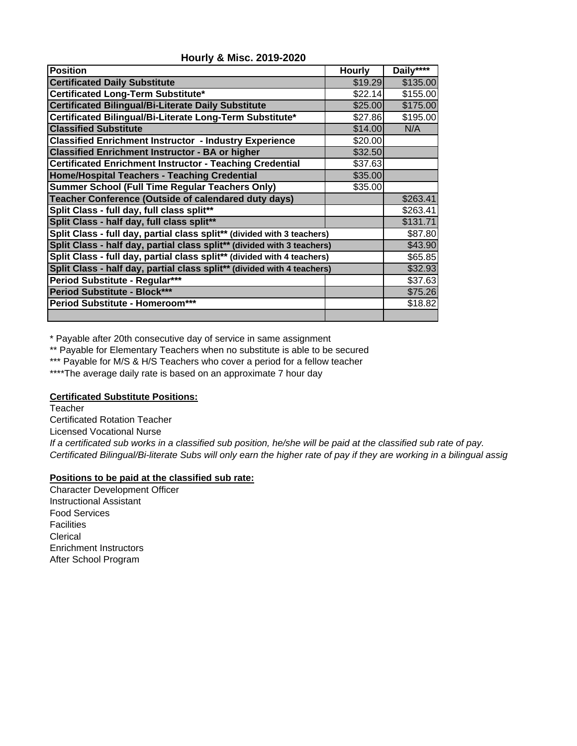| <b>Position</b>                                                         | <b>Hourly</b> | Daily**** |
|-------------------------------------------------------------------------|---------------|-----------|
| <b>Certificated Daily Substitute</b>                                    | \$19.29       | \$135.00  |
| Certificated Long-Term Substitute*                                      | \$22.14       | \$155.00  |
| <b>Certificated Bilingual/Bi-Literate Daily Substitute</b>              | \$25.00       | \$175.00  |
| Certificated Bilingual/Bi-Literate Long-Term Substitute*                | \$27.86       | \$195.00  |
| <b>Classified Substitute</b>                                            | \$14.00       | N/A       |
| <b>Classified Enrichment Instructor - Industry Experience</b>           | \$20.00       |           |
| <b>Classified Enrichment Instructor - BA or higher</b>                  | \$32.50       |           |
| <b>Certificated Enrichment Instructor - Teaching Credential</b>         | \$37.63       |           |
| <b>Home/Hospital Teachers - Teaching Credential</b>                     | \$35.00       |           |
| <b>Summer School (Full Time Regular Teachers Only)</b>                  | \$35.00       |           |
| Teacher Conference (Outside of calendared duty days)                    |               | \$263.41  |
| Split Class - full day, full class split**                              |               | \$263.41  |
| Split Class - half day, full class split**                              |               | \$131.71  |
| Split Class - full day, partial class split** (divided with 3 teachers) |               | \$87.80   |
| Split Class - half day, partial class split** (divided with 3 teachers) |               | \$43.90   |
| Split Class - full day, partial class split** (divided with 4 teachers) |               | \$65.85   |
| Split Class - half day, partial class split** (divided with 4 teachers) |               | \$32.93   |
| Period Substitute - Regular***                                          |               | \$37.63   |
| <b>Period Substitute - Block***</b>                                     |               | \$75.26   |
| Period Substitute - Homeroom***                                         |               | \$18.82   |
|                                                                         |               |           |

**Hourly & Misc. 2019-2020**

\* Payable after 20th consecutive day of service in same assignment

\*\* Payable for Elementary Teachers when no substitute is able to be secured

\*\*\* Payable for M/S & H/S Teachers who cover a period for a fellow teacher

\*\*\*\*The average daily rate is based on an approximate 7 hour day

## **Certificated Substitute Positions:**

**Teacher** Certificated Rotation Teacher Licensed Vocational Nurse *If a certificated sub works in a classified sub position, he/she will be paid at the classified sub rate of pay. Certificated Bilingual/Bi-literate Subs will only earn the higher rate of pay if they are working in a bilingual assig*

## **Positions to be paid at the classified sub rate:**

Character Development Officer Instructional Assistant Food Services Facilities Clerical Enrichment Instructors After School Program